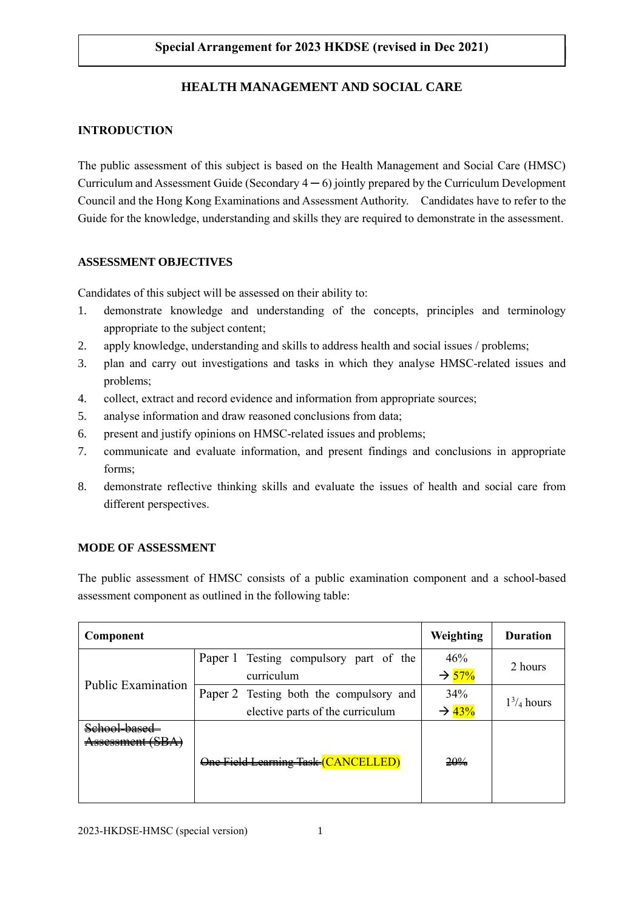# **Special Arrangement for 2023 HKDSE** (revised in Dec 2021)

# **HEALTH MANAGEMENT AND SOCIAL CARE**

### **INTRODUCTION**

The public assessment of this subject is based on the Health Management and Social Care (HMSC) Curriculum and Assessment Guide (Secondary  $4 - 6$ ) jointly prepared by the Curriculum Development Council and the Hong Kong Examinations and Assessment Authority. Candidates have to refer to the Guide for the knowledge, understanding and skills they are required to demonstrate in the assessment.

### **ASSESSMENT OBJECTIVES**

Candidates of this subject will be assessed on their ability to:

- 1. demonstrate knowledge and understanding of the concepts, principles and terminology appropriate to the subject content;
- 2. apply knowledge, understanding and skills to address health and social issues / problems;
- 3. plan and carry out investigations and tasks in which they analyse HMSC-related issues and problems;
- 4. collect, extract and record evidence and information from appropriate sources;
- 5. analyse information and draw reasoned conclusions from data;
- 6. present and justify opinions on HMSC-related issues and problems;
- 7. communicate and evaluate information, and present findings and conclusions in appropriate forms;
- 8. demonstrate reflective thinking skills and evaluate the issues of health and social care from different perspectives.

## **MODE OF ASSESSMENT**

The public assessment of HMSC consists of a public examination component and a school-based assessment component as outlined in the following table:

| Component                  |                                                                             | Weighting                | <b>Duration</b>  |
|----------------------------|-----------------------------------------------------------------------------|--------------------------|------------------|
| <b>Public Examination</b>  | Paper 1 Testing compulsory part of the<br>curriculum                        | 46%<br>$\rightarrow$ 57% | 2 hours          |
|                            | Paper 2 Testing both the compulsory and<br>elective parts of the curriculum | 34%<br>$\rightarrow$ 43% | $1^{3}/_4$ hours |
| <del>ssessment (SBA)</del> | One Field Learning Task (CANCELLED)                                         | 20%                      |                  |